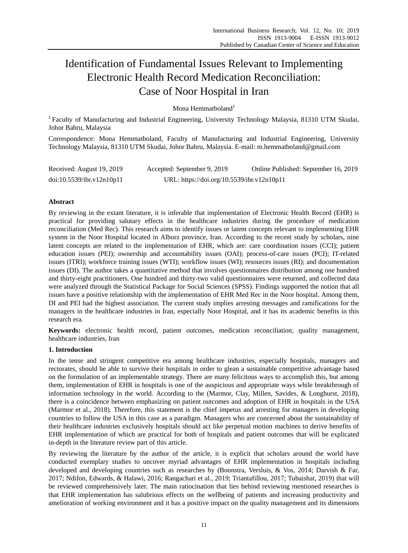# Identification of Fundamental Issues Relevant to Implementing Electronic Health Record Medication Reconciliation: Case of Noor Hospital in Iran

Mona Hemmatboland<sup>1</sup>

<sup>1</sup> Faculty of Manufacturing and Industrial Engineering, University Technology Malaysia, 81310 UTM Skudai, Johor Bahru, Malaysia

Correspondence: Mona Hemmatboland, Faculty of Manufacturing and Industrial Engineering, University Technology Malaysia, 81310 UTM Skudai, Johor Bahru, Malaysia. E-mail: m.hemmatboland@gmail.com

| Received: August 19, 2019 | Accepted: September 9, 2019                | Online Published: September 16, 2019 |
|---------------------------|--------------------------------------------|--------------------------------------|
| doi:10.5539/ibr.v12n10p11 | URL: https://doi.org/10.5539/ibr.v12n10p11 |                                      |

# **Abstract**

By reviewing in the extant literature, it is inferable that implementation of Electronic Health Record (EHR) is practical for providing salutary effects in the healthcare industries during the procedure of medication reconciliation (Med Rec). This research aims to identify issues or latent concepts relevant to implementing EHR system in the Noor Hospital located in Alborz province, Iran. According to the recent study by scholars, nine latent concepts are related to the implementation of EHR, which are: care coordination issues (CCI); patient education issues (PEI); ownership and accountability issues (OAI); process-of-care issues (PCI); IT-related issues (ITRI); workforce training issues (WTI); workflow issues (WI); resources issues (RI); and documentation issues (DI). The author takes a quantitative method that involves questionnaires distribution among one hundred and thirty-eight practitioners. One hundred and thirty-two valid questionnaires were returned, and collected data were analyzed through the Statistical Package for Social Sciences (SPSS). Findings supported the notion that all issues have a positive relationship with the implementation of EHR Med Rec in the Noor hospital. Among them, DI and PEI had the highest association. The current study implies arresting messages and ramifications for the managers in the healthcare industries in Iran, especially Noor Hospital, and it has its academic benefits in this research era.

**Keywords:** electronic health record, patient outcomes, medication reconciliation, quality management, healthcare industries, Iran

# **1. Introduction**

In the tense and stringent competitive era among healthcare industries, especially hospitals, managers and rectorates, should be able to survive their hospitals in order to glean a sustainable competitive advantage based on the formulation of an implementable strategy. There are many felicitous ways to accomplish this, but among them, implementation of EHR in hospitals is one of the auspicious and appropriate ways while breakthrough of information technology in the world. According to the (Marmor, Clay, Millen, Savides, & Longhurst, 2018), there is a coincidence between emphasizing on patient outcomes and adoption of EHR in hospitals in the USA (Marmor et al., 2018). Therefore, this statement is the chief impetus and arresting for managers in developing countries to follow the USA in this case as a paradigm. Managers who are concerned about the sustainability of their healthcare industries exclusively hospitals should act like perpetual motion machines to derive benefits of EHR implementation of which are practical for both of hospitals and patient outcomes that will be explicated in-depth in the literature review part of this article.

By reviewing the literature by the author of the article, it is explicit that scholars around the world have conducted exemplary studies to uncover myriad advantages of EHR implementation in hospitals including developed and developing countries such as researches by (Boonstra, Versluis, & Vos, 2014; Darvish & Far, 2017; Ndifon, Edwards, & Halawi, 2016; Rangachari et al., 2019; Triantafillou, 2017; Tubaishat, 2019) that will be reviewed comprehensively later. The main ratiocination that lies behind reviewing mentioned researches is that EHR implementation has salubrious effects on the wellbeing of patients and increasing productivity and amelioration of working environment and it has a positive impact on the quality management and its dimensions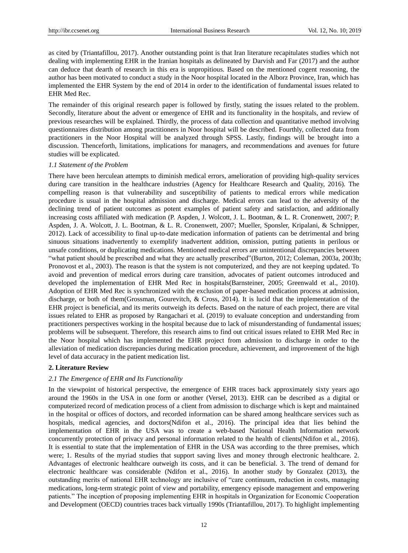as cited by (Triantafillou, 2017). Another outstanding point is that Iran literature recapitulates studies which not dealing with implementing EHR in the Iranian hospitals as delineated by Darvish and Far (2017) and the author can deduce that dearth of research in this era is unpropitious. Based on the mentioned cogent reasoning, the author has been motivated to conduct a study in the Noor hospital located in the Alborz Province, Iran, which has implemented the EHR System by the end of 2014 in order to the identification of fundamental issues related to EHR Med Rec.

The remainder of this original research paper is followed by firstly, stating the issues related to the problem. Secondly, literature about the advent or emergence of EHR and its functionality in the hospitals, and review of previous researches will be explained. Thirdly, the process of data collection and quantitative method involving questionnaires distribution among practitioners in Noor hospital will be described. Fourthly, collected data from practitioners in the Noor Hospital will be analyzed through SPSS. Lastly, findings will be brought into a discussion. Thenceforth, limitations, implications for managers, and recommendations and avenues for future studies will be explicated.

#### *1.1 Statement of the Problem*

There have been herculean attempts to diminish medical errors, amelioration of providing high-quality services during care transition in the healthcare industries (Agency for Healthcare Research and Quality, 2016). The compelling reason is that vulnerability and susceptibility of patients to medical errors while medication procedure is usual in the hospital admission and discharge. Medical errors can lead to the adversity of the declining trend of patient outcomes as potent examples of patient safety and satisfaction, and additionally increasing costs affiliated with medication (P. Aspden, J. Wolcott, J. L. Bootman, & L. R. Cronenwett, 2007; P. Aspden, J. A. Wolcott, J. L. Bootman, & L. R. Cronenwett, 2007; Mueller, Sponsler, Kripalani, & Schnipper, 2012). Lack of accessibility to final up-to-date medication information of patients can be detrimental and bring sinuous situations inadvertently to exemplify inadvertent addition, omission, putting patients in perilous or unsafe conditions, or duplicating medications. Mentioned medical errors are unintentional discrepancies between ―what patient should be prescribed and what they are actually prescribed‖(Burton, 2012; Coleman, 2003a, 2003b; Pronovost et al., 2003). The reason is that the system is not computerized, and they are not keeping updated. To avoid and prevention of medical errors during care transition, advocates of patient outcomes introduced and developed the implementation of EHR Med Rec in hospitals(Barnsteiner, 2005; Greenwald et al., 2010). Adoption of EHR Med Rec is synchronized with the exclusion of paper-based medication process at admission, discharge, or both of them(Grossman, Gourevitch, & Cross, 2014). It is lucid that the implementation of the EHR project is beneficial, and its merits outweigh its defects. Based on the nature of each project, there are vital issues related to EHR as proposed by Rangachari et al. (2019) to evaluate conception and understanding from practitioners perspectives working in the hospital because due to lack of misunderstanding of fundamental issues; problems will be subsequent. Therefore, this research aims to find out critical issues related to EHR Med Rec in the Noor hospital which has implemented the EHR project from admission to discharge in order to the alleviation of medication discrepancies during medication procedure, achievement, and improvement of the high level of data accuracy in the patient medication list.

# **2. Literature Review**

# *2.1 The Emergence of EHR and Its Functionality*

In the viewpoint of historical perspective, the emergence of EHR traces back approximately sixty years ago around the 1960s in the USA in one form or another (Versel, 2013). EHR can be described as a digital or computerized record of medication process of a client from admission to discharge which is kept and maintained in the hospital or offices of doctors, and recorded information can be shared among healthcare services such as hospitals, medical agencies, and doctors(Ndifon et al., 2016). The principal idea that lies behind the implementation of EHR in the USA was to create a web-based National Health Information network concurrently protection of privacy and personal information related to the health of clients(Ndifon et al., 2016). It is essential to state that the implementation of EHR in the USA was according to the three premises, which were; 1. Results of the myriad studies that support saving lives and money through electronic healthcare. 2. Advantages of electronic healthcare outweigh its costs, and it can be beneficial. 3. The trend of demand for electronic healthcare was considerable (Ndifon et al., 2016). In another study by Gonzalez (2013), the outstanding merits of national EHR technology are inclusive of "care continuum, reduction in costs, managing medications, long-term strategic point of view and portability, emergency episode management and empowering patients.‖ The inception of proposing implementing EHR in hospitals in Organization for Economic Cooperation and Development (OECD) countries traces back virtually 1990s (Triantafillou, 2017). To highlight implementing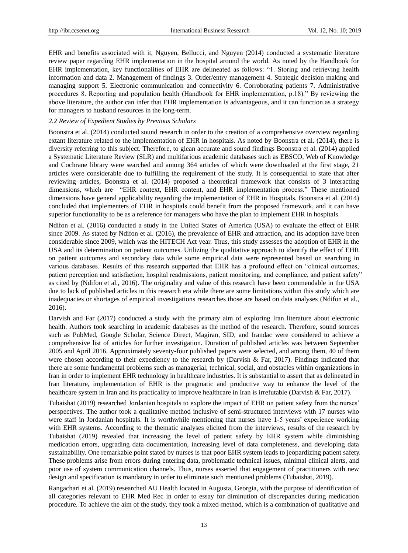EHR and benefits associated with it, Nguyen, Bellucci, and Nguyen (2014) conducted a systematic literature review paper regarding EHR implementation in the hospital around the world. As noted by the Handbook for EHR implementation, key functionalities of EHR are delineated as follows: "1. Storing and retrieving health information and data 2. Management of findings 3. Order/entry management 4. Strategic decision making and managing support 5. Electronic communication and connectivity 6. Corroborating patients 7. Administrative procedures 8. Reporting and population health (Handbook for EHR implementation, p.18)." By reviewing the above literature, the author can infer that EHR implementation is advantageous, and it can function as a strategy for managers to husband resources in the long-term.

# *2.2 Review of Expedient Studies by Previous Scholars*

Boonstra et al. (2014) conducted sound research in order to the creation of a comprehensive overview regarding extant literature related to the implementation of EHR in hospitals. As noted by Boonstra et al. (2014), there is diversity referring to this subject. Therefore, to glean accurate and sound findings Boonstra et al. (2014) applied a Systematic Literature Review (SLR) and multifarious academic databases such as EBSCO, Web of Knowledge and Cochrane library were searched and among 364 articles of which were downloaded at the first stage, 21 articles were considerable due to fulfilling the requirement of the study. It is consequential to state that after reviewing articles, Boonstra et al. (2014) proposed a theoretical framework that consists of 3 interacting dimensions, which are "EHR context, EHR content, and EHR implementation process." These mentioned dimensions have general applicability regarding the implementation of EHR in Hospitals. Boonstra et al. (2014) concluded that implementers of EHR in hospitals could benefit from the proposed framework, and it can have superior functionality to be as a reference for managers who have the plan to implement EHR in hospitals.

Ndifon et al. (2016) conducted a study in the United States of America (USA) to evaluate the effect of EHR since 2009. As stated by Ndifon et al. (2016), the prevalence of EHR and attraction, and its adoption have been considerable since 2009, which was the HITECH Act year. Thus, this study assesses the adoption of EHR in the USA and its determination on patient outcomes. Utilizing the qualitative approach to identify the effect of EHR on patient outcomes and secondary data while some empirical data were represented based on searching in various databases. Results of this research supported that EHR has a profound effect on "clinical outcomes, patient perception and satisfaction, hospital readmissions, patient monitoring, and compliance, and patient safety" as cited by (Ndifon et al., 2016). The originality and value of this research have been commendable in the USA due to lack of published articles in this research era while there are some limitations within this study which are inadequacies or shortages of empirical investigations researches those are based on data analyses (Ndifon et al., 2016).

Darvish and Far (2017) conducted a study with the primary aim of exploring Iran literature about electronic health. Authors took searching in academic databases as the method of the research. Therefore, sound sources such as PubMed, Google Scholar, Science Direct, Magiran, SID, and Irandac were considered to achieve a comprehensive list of articles for further investigation. Duration of published articles was between September 2005 and April 2016. Approximately seventy-four published papers were selected, and among them, 40 of them were chosen according to their expediency to the research by (Darvish & Far, 2017). Findings indicated that there are some fundamental problems such as managerial, technical, social, and obstacles within organizations in Iran in order to implement EHR technology in healthcare industries. It is substantial to assert that as delineated in Iran literature, implementation of EHR is the pragmatic and productive way to enhance the level of the healthcare system in Iran and its practicality to improve healthcare in Iran is irrefutable (Darvish & Far, 2017).

Tubaishat (2019) researched Jordanian hospitals to explore the impact of EHR on patient safety from the nurses' perspectives. The author took a qualitative method inclusive of semi-structured interviews with 17 nurses who were staff in Jordanian hospitals. It is worthwhile mentioning that nurses have 1-5 years' experience working with EHR systems. According to the thematic analyses elicited from the interviews, results of the research by Tubaishat (2019) revealed that increasing the level of patient safety by EHR system while diminishing medication errors, upgrading data documentation, increasing level of data completeness, and developing data sustainability. One remarkable point stated by nurses is that poor EHR system leads to jeopardizing patient safety. These problems arise from errors during entering data, problematic technical issues, minimal clinical alerts, and poor use of system communication channels. Thus, nurses asserted that engagement of practitioners with new design and specification is mandatory in order to eliminate such mentioned problems (Tubaishat, 2019).

Rangachari et al. (2019) researched AU Health located in Augusta, Georgia, with the purpose of identification of all categories relevant to EHR Med Rec in order to essay for diminution of discrepancies during medication procedure. To achieve the aim of the study, they took a mixed-method, which is a combination of qualitative and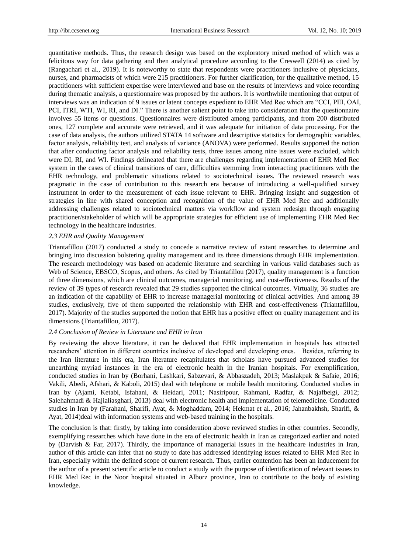quantitative methods. Thus, the research design was based on the exploratory mixed method of which was a felicitous way for data gathering and then analytical procedure according to the Creswell (2014) as cited by (Rangachari et al., 2019). It is noteworthy to state that respondents were practitioners inclusive of physicians, nurses, and pharmacists of which were 215 practitioners. For further clarification, for the qualitative method, 15 practitioners with sufficient expertise were interviewed and base on the results of interviews and voice recording during thematic analysis, a questionnaire was proposed by the authors. It is worthwhile mentioning that output of interviews was an indication of 9 issues or latent concepts expedient to EHR Med Rec which are "CCI, PEI, OAI, PCI, ITRI, WTI, WI, RI, and DI." There is another salient point to take into consideration that the questionnaire involves 55 items or questions. Questionnaires were distributed among participants, and from 200 distributed ones, 127 complete and accurate were retrieved, and it was adequate for initiation of data processing. For the case of data analysis, the authors utilized STATA 14 software and descriptive statistics for demographic variables, factor analysis, reliability test, and analysis of variance (ANOVA) were performed. Results supported the notion that after conducting factor analysis and reliability tests, three issues among nine issues were excluded, which were DI, RI, and WI. Findings delineated that there are challenges regarding implementation of EHR Med Rec system in the cases of clinical transitions of care, difficulties stemming from interacting practitioners with the EHR technology, and problematic situations related to sociotechnical issues. The reviewed research was pragmatic in the case of contribution to this research era because of introducing a well-qualified survey instrument in order to the measurement of each issue relevant to EHR. Bringing insight and suggestion of strategies in line with shared conception and recognition of the value of EHR Med Rec and additionally addressing challenges related to sociotechnical matters via workflow and system redesign through engaging practitioner/stakeholder of which will be appropriate strategies for efficient use of implementing EHR Med Rec technology in the healthcare industries.

#### *2.3 EHR and Quality Management*

Triantafillou (2017) conducted a study to concede a narrative review of extant researches to determine and bringing into discussion bolstering quality management and its three dimensions through EHR implementation. The research methodology was based on academic literature and searching in various valid databases such as Web of Science, EBSCO, Scopus, and others. As cited by Triantafillou (2017), quality management is a function of three dimensions, which are clinical outcomes, managerial monitoring, and cost-effectiveness. Results of the review of 39 types of research revealed that 29 studies supported the clinical outcomes. Virtually, 36 studies are an indication of the capability of EHR to increase managerial monitoring of clinical activities. And among 39 studies, exclusively, five of them supported the relationship with EHR and cost-effectiveness (Triantafillou, 2017). Majority of the studies supported the notion that EHR has a positive effect on quality management and its dimensions (Triantafillou, 2017).

#### *2.4 Conclusion of Review in Literature and EHR in Iran*

By reviewing the above literature, it can be deduced that EHR implementation in hospitals has attracted researchers' attention in different countries inclusive of developed and developing ones. Besides, referring to the Iran literature in this era, Iran literature recapitulates that scholars have pursued advanced studies for unearthing myriad instances in the era of electronic health in the Iranian hospitals. For exemplification, conducted studies in Iran by (Borhani, Lashkari, Sabzevari, & Abbaszadeh, 2013; Maslakpak & Safaie, 2016; Vakili, Abedi, Afshari, & Kaboli, 2015) deal with telephone or mobile health monitoring. Conducted studies in Iran by (Ajami, Ketabi, Isfahani, & Heidari, 2011; Nasiripour, Rahmani, Radfar, & Najafbeigi, 2012; Salehahmadi & Hajialiasghari, 2013) deal with electronic health and implementation of telemedicine. Conducted studies in Iran by (Farahani, Sharifi, Ayat, & Moghaddam, 2014; Hekmat et al., 2016; Jahanbakhsh, Sharifi, & Ayat, 2014)deal with information systems and web-based training in the hospitals.

The conclusion is that: firstly, by taking into consideration above reviewed studies in other countries. Secondly, exemplifying researches which have done in the era of electronic health in Iran as categorized earlier and noted by (Darvish & Far, 2017). Thirdly, the importance of managerial issues in the healthcare industries in Iran, author of this article can infer that no study to date has addressed identifying issues related to EHR Med Rec in Iran, especially within the defined scope of current research. Thus, earlier contention has been an inducement for the author of a present scientific article to conduct a study with the purpose of identification of relevant issues to EHR Med Rec in the Noor hospital situated in Alborz province, Iran to contribute to the body of existing knowledge.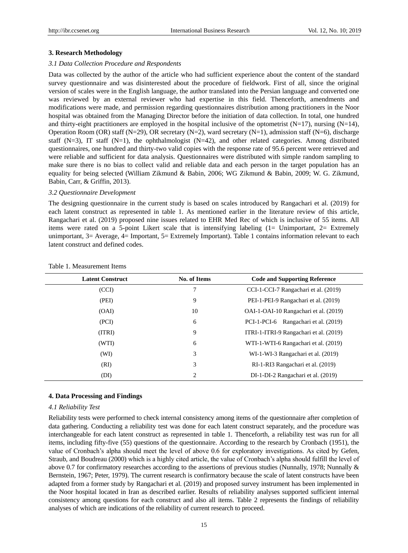#### **3. Research Methodology**

#### *3.1 Data Collection Procedure and Respondents*

Data was collected by the author of the article who had sufficient experience about the content of the standard survey questionnaire and was disinterested about the procedure of fieldwork. First of all, since the original version of scales were in the English language, the author translated into the Persian language and converted one was reviewed by an external reviewer who had expertise in this field. Thenceforth, amendments and modifications were made, and permission regarding questionnaires distribution among practitioners in the Noor hospital was obtained from the Managing Director before the initiation of data collection. In total, one hundred and thirty-eight practitioners are employed in the hospital inclusive of the optometrist (N=17), nursing  $(N=14)$ , Operation Room (OR) staff (N=29), OR secretary (N=2), ward secretary (N=1), admission staff (N=6), discharge staff (N=3), IT staff (N=1), the ophthalmologist (N=42), and other related categories. Among distributed questionnaires, one hundred and thirty-two valid copies with the response rate of 95.6 percent were retrieved and were reliable and sufficient for data analysis. Questionnaires were distributed with simple random sampling to make sure there is no bias to collect valid and reliable data and each person in the target population has an equality for being selected (William Zikmund & Babin, 2006; WG Zikmund & Babin, 2009; W. G. Zikmund, Babin, Carr, & Griffin, 2013).

#### *3.2 Questionnaire Development*

The designing questionnaire in the current study is based on scales introduced by Rangachari et al. (2019) for each latent construct as represented in table 1. As mentioned earlier in the literature review of this article, Rangachari et al. (2019) proposed nine issues related to EHR Med Rec of which is inclusive of 55 items. All items were rated on a 5-point Likert scale that is intensifying labeling (1= Unimportant, 2= Extremely unimportant, 3= Average, 4= Important, 5= Extremely Important). Table 1 contains information relevant to each latent construct and defined codes.

| <b>Latent Construct</b> | <b>No. of Items</b> | <b>Code and Supporting Reference</b>   |
|-------------------------|---------------------|----------------------------------------|
| (CCI)                   | 7                   | CCI-1-CCI-7 Rangachari et al. (2019)   |
| (PEI)                   | 9                   | PEI-1-PEI-9 Rangachari et al. (2019)   |
| (OAI)                   | 10                  | OAI-1-OAI-10 Rangachari et al. (2019)  |
| (PCI)                   | 6                   | PCI-1-PCI-6 Rangachari et al. (2019)   |
| (ITRI)                  | 9                   | ITRI-1-ITRI-9 Rangachari et al. (2019) |
| (WTI)                   | 6                   | WTI-1-WTI-6 Rangachari et al. (2019)   |
| (WI)                    | 3                   | WI-1-WI-3 Rangachari et al. (2019)     |
| (RI)                    | 3                   | RI-1-RI3 Rangachari et al. (2019)      |
| (DI)                    | 2                   | DI-1-DI-2 Rangachari et al. (2019)     |

#### Table 1. Measurement Items

#### **4. Data Processing and Findings**

#### *4.1 Reliability Test*

Reliability tests were performed to check internal consistency among items of the questionnaire after completion of data gathering. Conducting a reliability test was done for each latent construct separately, and the procedure was interchangeable for each latent construct as represented in table 1. Thenceforth, a reliability test was run for all items, including fifty-five (55) questions of the questionnaire. According to the research by Cronbach (1951), the value of Cronbach's alpha should meet the level of above 0.6 for exploratory investigations. As cited by Gefen, Straub, and Boudreau (2000) which is a highly cited article, the value of Cronbach's alpha should fulfill the level of above 0.7 for confirmatory researches according to the assertions of previous studies (Nunnally, 1978; Nunnally & Bernstein, 1967; Peter, 1979). The current research is confirmatory because the scale of latent constructs have been adapted from a former study by Rangachari et al. (2019) and proposed survey instrument has been implemented in the Noor hospital located in Iran as described earlier. Results of reliability analyses supported sufficient internal consistency among questions for each construct and also all items. Table 2 represents the findings of reliability analyses of which are indications of the reliability of current research to proceed.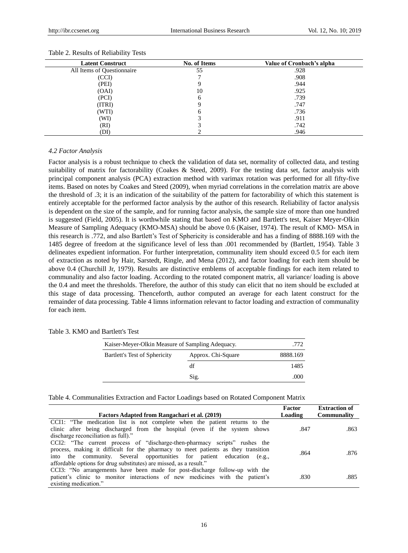| <b>Latent Construct</b>    | No. of Items | Value of Cronbach's alpha |
|----------------------------|--------------|---------------------------|
| All Items of Questionnaire | 55           | .928                      |
| (CCI)                      |              | .908                      |
| (PEI)                      | 9            | .944                      |
| (OAI)                      | 10           | .925                      |
| (PCI)                      | 6            | .739                      |
| (ITRI)                     | 9            | .747                      |
| (WTI)                      | 6            | .736                      |
| (WI)                       |              | .911                      |
| (RI)                       |              | .742                      |
| (DI)                       |              | .946                      |

#### Table 2. Results of Reliability Tests

### *4.2 Factor Analysis*

Factor analysis is a robust technique to check the validation of data set, normality of collected data, and testing suitability of matrix for factorability (Coakes & Steed, 2009). For the testing data set, factor analysis with principal component analysis (PCA) extraction method with varimax rotation was performed for all fifty-five items. Based on notes by Coakes and Steed (2009), when myriad correlations in the correlation matrix are above the threshold of .3; it is an indication of the suitability of the pattern for factorability of which this statement is entirely acceptable for the performed factor analysis by the author of this research. Reliability of factor analysis is dependent on the size of the sample, and for running factor analysis, the sample size of more than one hundred is suggested (Field, 2005). It is worthwhile stating that based on KMO and Bartlett's test, Kaiser Meyer-Olkin Measure of Sampling Adequacy (KMO-MSA) should be above 0.6 (Kaiser, 1974). The result of KMO- MSA in this research is .772, and also Bartlett's Test of Sphericity is considerable and has a finding of 8888.169 with the 1485 degree of freedom at the significance level of less than .001 recommended by (Bartlett, 1954). Table 3 delineates expedient information. For further interpretation, communality item should exceed 0.5 for each item of extraction as noted by Hair, Sarstedt, Ringle, and Mena (2012), and factor loading for each item should be above 0.4 (Churchill Jr, 1979). Results are distinctive emblems of acceptable findings for each item related to communality and also factor loading. According to the rotated component matrix, all variance/ loading is above the 0.4 and meet the thresholds. Therefore, the author of this study can elicit that no item should be excluded at this stage of data processing. Thenceforth, author computed an average for each latent construct for the remainder of data processing. Table 4 limns information relevant to factor loading and extraction of communality for each item.

| Kaiser-Meyer-Olkin Measure of Sampling Adequacy.    | .772 |          |
|-----------------------------------------------------|------|----------|
| Bartlett's Test of Sphericity<br>Approx. Chi-Square |      | 8888.169 |
|                                                     | df   | 1485     |
|                                                     | Sig. | .000     |
|                                                     |      |          |

Table 4. Communalities Extraction and Factor Loadings based on Rotated Component Matrix

| Factors Adapted from Rangachari et al. (2019)                                                                                                                                                                                                                                                                   | Factor<br>Loading | <b>Extraction of</b><br>Communality |
|-----------------------------------------------------------------------------------------------------------------------------------------------------------------------------------------------------------------------------------------------------------------------------------------------------------------|-------------------|-------------------------------------|
| CCI1: "The medication list is not complete when the patient returns to the<br>clinic after being discharged from the hospital (even if the system shows<br>discharge reconciliation as full)."                                                                                                                  | .847              | .863                                |
| CCI2: "The current process of "discharge-then-pharmacy scripts" rushes the<br>process, making it difficult for the pharmacy to meet patients as they transition<br>into the community. Several opportunities for patient education (e.g.,<br>affordable options for drug substitutes) are missed, as a result." | .864              | .876                                |
| CCI3: "No arrangements have been made for post-discharge follow-up with the<br>patient's clinic to monitor interactions of new medicines with the patient's<br>existing medication."                                                                                                                            | .830              | .885                                |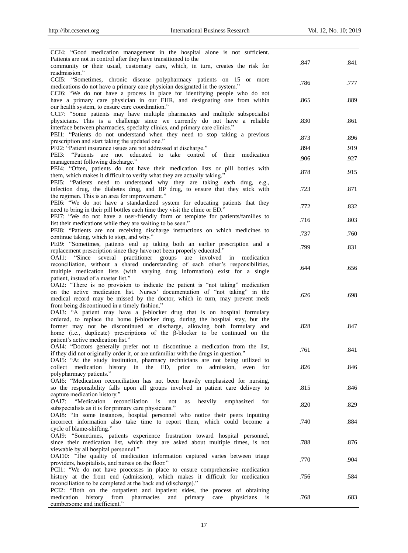| CCI4: "Good medication management in the hospital alone is not sufficient.                                                                          |      |      |
|-----------------------------------------------------------------------------------------------------------------------------------------------------|------|------|
| Patients are not in control after they have transitioned to the                                                                                     |      |      |
| community or their usual, customary care, which, in turn, creates the risk for                                                                      | .847 | .841 |
| readmission."                                                                                                                                       |      |      |
| CCI5: "Sometimes, chronic disease polypharmacy patients on 15 or more                                                                               | .786 | .777 |
| medications do not have a primary care physician designated in the system."                                                                         |      |      |
| CCI6: "We do not have a process in place for identifying people who do not                                                                          |      |      |
| have a primary care physician in our EHR, and designating one from within                                                                           | .865 | .889 |
| our health system, to ensure care coordination."                                                                                                    |      |      |
| CCI7: "Some patients may have multiple pharmacies and multiple subspecialist                                                                        |      |      |
| physicians. This is a challenge since we currently do not have a reliable                                                                           | .830 | .861 |
| interface between pharmacies, specialty clinics, and primary care clinics."                                                                         |      |      |
| PEI1: "Patients do not understand when they need to stop taking a previous                                                                          | .873 | .896 |
| prescription and start taking the updated one."                                                                                                     |      |      |
| PEI2: "Patient insurance issues are not addressed at discharge."                                                                                    | .894 | .919 |
| PEI3: "Patients are not educated to take control of their medication                                                                                | .906 | .927 |
| management following discharge."                                                                                                                    |      |      |
| PEI4: "Often, patients do not have their medication lists or pill bottles with                                                                      | .878 | .915 |
| them, which makes it difficult to verify what they are actually taking."                                                                            |      |      |
| PEI5: "Patients need to understand why they are taking each drug, e.g.,                                                                             |      |      |
| infection drug, the diabetes drug, and BP drug, to ensure that they stick with                                                                      | .723 | .871 |
| the regimen. This is an area for improvement."                                                                                                      |      |      |
| PEI6: "We do not have a standardized system for educating patients that they                                                                        | .772 | .832 |
| need to bring in their pill bottles each time they visit the clinic or ED."                                                                         |      |      |
| PEI7: "We do not have a user-friendly form or template for patients/families to                                                                     | .716 | .803 |
| list their medications while they are waiting to be seen."                                                                                          |      |      |
| PEI8: "Patients are not receiving discharge instructions on which medicines to                                                                      | .737 | .760 |
| continue taking, which to stop, and why."                                                                                                           |      |      |
| PEI9: "Sometimes, patients end up taking both an earlier prescription and a                                                                         | .799 | .831 |
| replacement prescription since they have not been properly educated."<br>OAI1: "Since                                                               |      |      |
| several<br>practitioner groups<br>are involved in<br>medication<br>reconciliation, without a shared understanding of each other's responsibilities, |      |      |
| multiple medication lists (with varying drug information) exist for a single                                                                        | .644 | .656 |
| patient, instead of a master list."                                                                                                                 |      |      |
| OAI2: "There is no provision to indicate the patient is "not taking" medication                                                                     |      |      |
| on the active medication list. Nurses' documentation of "not taking" in the                                                                         |      |      |
| medical record may be missed by the doctor, which in turn, may prevent meds                                                                         | .626 | .698 |
| from being discontinued in a timely fashion."                                                                                                       |      |      |
| OAI3: "A patient may have a $\beta$ -blocker drug that is on hospital formulary                                                                     |      |      |
| ordered, to replace the home $\beta$ -blocker drug, during the hospital stay, but the                                                               |      |      |
| former may not be discontinued at discharge, allowing both formulary and                                                                            | .828 | .847 |
| home (i.e., duplicate) prescriptions of the $\beta$ -blocker to be continued on the                                                                 |      |      |
| patient's active medication list."                                                                                                                  |      |      |
| OAI4: "Doctors generally prefer not to discontinue a medication from the list,                                                                      |      |      |
| if they did not originally order it, or are unfamiliar with the drugs in question."                                                                 | .761 | .841 |
| OAI5: "At the study institution, pharmacy technicians are not being utilized to                                                                     |      |      |
| collect medication history in the ED, prior to<br>admission, even for                                                                               | .826 | .846 |
| polypharmacy patients."                                                                                                                             |      |      |
| OAI6: "Medication reconciliation has not been heavily emphasized for nursing,                                                                       |      |      |
| so the responsibility falls upon all groups involved in patient care delivery to                                                                    | .815 | .846 |
| capture medication history."                                                                                                                        |      |      |
| "Medication"<br>OAI7:<br>reconciliation<br>heavily<br>is<br>not<br>emphasized<br>for<br>as                                                          |      |      |
| subspecialists as it is for primary care physicians."                                                                                               | .820 | .829 |
| OAI8: "In some instances, hospital personnel who notice their peers inputting                                                                       |      |      |
| incorrect information also take time to report them, which could become a                                                                           | .740 | .884 |
| cycle of blame-shifting."                                                                                                                           |      |      |
| OAI9: "Sometimes, patients experience frustration toward hospital personnel,                                                                        |      |      |
| since their medication list, which they are asked about multiple times, is not                                                                      | .788 | .876 |
| viewable by all hospital personnel."                                                                                                                |      |      |
| OAI10: "The quality of medication information captured varies between triage                                                                        | .770 | .904 |
| providers, hospitalists, and nurses on the floor."                                                                                                  |      |      |
| PCI1: "We do not have processes in place to ensure comprehensive medication                                                                         |      |      |
| history at the front end (admission), which makes it difficult for medication                                                                       |      | .584 |
|                                                                                                                                                     | .756 |      |
| reconciliation to be completed at the back end (discharge)."                                                                                        |      |      |
| PCI2: "Both on the outpatient and inpatient sides, the process of obtaining                                                                         |      |      |
| history from<br>pharmacies<br>medication<br>and<br>primary<br>physicians is<br>care<br>cumbersome and inefficient."                                 | .768 | .683 |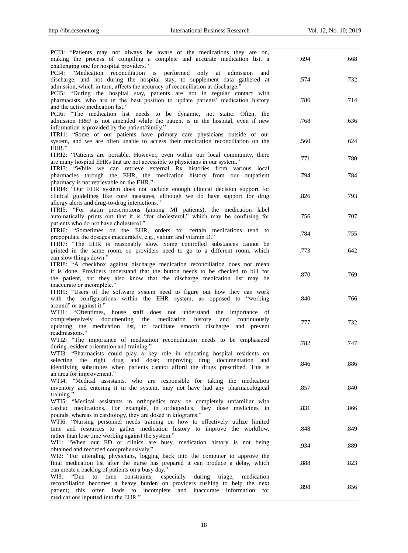| PCI3: "Patients may not always be aware of the medications they are on,<br>making the process of compiling a complete and accurate medication list, a<br>challenging one for hospital providers."                                                                                        | .694 | .668 |
|------------------------------------------------------------------------------------------------------------------------------------------------------------------------------------------------------------------------------------------------------------------------------------------|------|------|
| PCI4: "Medication reconciliation is performed<br>only at admission and<br>discharge, and not during the hospital stay, to supplement data gathered at<br>admission, which in turn, affects the accuracy of reconciliation at discharge."                                                 | .574 | .732 |
| PCI5: "During the hospital stay, patients are not in regular contact with<br>pharmacists, who are in the best position to update patients' medication history<br>and the active medication list."                                                                                        | .786 | .714 |
| PCI6: "The medication list needs to be dynamic, not static. Often, the<br>admission H&P is not amended while the patient is in the hospital, even if new<br>information is provided by the patient/family."                                                                              | .768 | .636 |
| ITRI1: "Some of our patients have primary care physicians outside of our<br>system, and we are often unable to access their medication reconciliation on the<br>EHR."                                                                                                                    | .560 | .624 |
| ITRI2: "Patients are portable. However, even within our local community, there<br>are many hospital EHRs that are not accessible to physicians in our system."<br>ITRI3: "While we can retrieve external Rx histories from various local                                                 | .771 | .780 |
| pharmacies through the EHR, the medication history from our outpatient<br>pharmacy is not retrievable on the EHR."                                                                                                                                                                       | .794 | .784 |
| ITRI4: "Our EHR system does not include enough clinical decision support for<br>clinical guidelines like core measures, although we do have support for drug<br>allergy alerts and drug-to-drug interactions."                                                                           | .826 | .793 |
| ITRI5: "For statin prescriptions (among MI patients), the medication label<br>automatically prints out that it is "for cholesterol," which may be confusing for<br>patients who do not have cholesterol."                                                                                | .756 | .707 |
| ITRI6: "Sometimes on the EHR, orders for certain medications tend to<br>prepopulate the dosages inaccurately, e.g., valium and vitamin D."                                                                                                                                               | .784 | .755 |
| ITRI7: "The EHR is reasonably slow. Some controlled substances cannot be<br>printed in the same room, so providers need to go to a different room, which<br>can slow things down."                                                                                                       | .773 | .642 |
| ITRI8: "A checkbox against discharge medication reconciliation does not mean<br>it is done. Providers understand that the button needs to be checked to bill for<br>the patient, but they also know that the discharge medication list may be                                            | .870 | .769 |
| inaccurate or incomplete."<br>ITRI9: "Users of the software system need to figure out how they can work<br>with the configurations within the EHR system, as opposed to "working<br>around" or against it."                                                                              | .840 | .766 |
| WTI1: "Oftentimes, house staff does not understand the importance of<br>comprehensively documenting<br>medication history<br>the<br>and<br>continuously<br>updating the medication list, to facilitate smooth discharge and prevent<br>readmissions."                                    | .777 | .732 |
| WTI2: "The importance of medication reconciliation needs to be emphasized<br>during resident orientation and training."                                                                                                                                                                  | .782 | .747 |
| WTI3: "Pharmacists could play a key role in educating hospital residents on<br>selecting the right drug and dose; improving drug documentation and<br>identifying substitutes when patients cannot afford the drugs prescribed. This is                                                  | .846 | .886 |
| an area for improvement."<br>WTI4: "Medical assistants, who are responsible for taking the medication<br>inventory and entering it in the system, may not have had any pharmacological<br>training."                                                                                     | .857 | .840 |
| WTI5: "Medical assistants in orthopedics may be completely unfamiliar with<br>cardiac medications. For example, in orthopedics, they dose medicines in<br>pounds, whereas in cardiology, they are dosed in kilograms."                                                                   | .831 | .866 |
| WTI6: "Nursing personnel needs training on how to effectively utilize limited<br>time and resources to gather medication history to improve the workflow,<br>rather than lose time working against the system."                                                                          | .848 | .849 |
| WI1: "When our ED or clinics are busy, medication history is not being<br>obtained and recorded comprehensively."                                                                                                                                                                        | .934 | .889 |
| WI2: "For attending physicians, logging back into the computer to approve the<br>final medication list after the nurse has prepared it can produce a delay, which<br>can create a backlog of patients on a busy day."                                                                    | .888 | .823 |
| to time constraints,<br>especially<br>WI3:<br>"Due<br>during<br>triage,<br>medication<br>reconciliation becomes a heavy burden on providers rushing to help the next<br>this often leads to incomplete and inaccurate information for<br>patient:<br>medications inputted into the EHR." | .898 | .856 |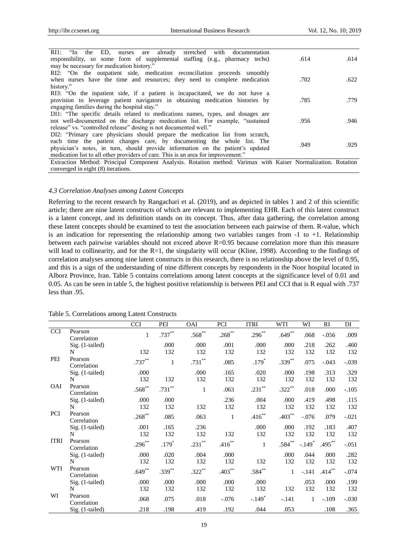| RI1: "In the ED, nurses are already stretched with documentation<br>responsibility, so some form of supplemental staffing (e.g., pharmacy techs)                    | .614 | .614 |
|---------------------------------------------------------------------------------------------------------------------------------------------------------------------|------|------|
| may be necessary for medication history."                                                                                                                           |      |      |
| RI2: "On the outpatient side, medication reconciliation proceeds smoothly<br>when nurses have the time and resources; they need to complete medication<br>history." | .702 | .622 |
| RI3: "On the inpatient side, if a patient is incapacitated, we do not have a                                                                                        |      |      |
| provision to leverage patient navigators in obtaining medication histories by                                                                                       | .785 | .779 |
| engaging families during the hospital stay."                                                                                                                        |      |      |
| DI1: "The specific details related to medications names, types, and dosages are                                                                                     |      |      |
| not well-documented on the discharge medication list. For example, "sustained                                                                                       | .956 | .946 |
| release" vs. "controlled release" dosing is not documented well."                                                                                                   |      |      |
| DI2: "Primary care physicians should prepare the medication list from scratch,                                                                                      |      |      |
| each time the patient changes care, by documenting the whole list. The                                                                                              | .949 | .929 |
| physician's notes, in turn, should provide information on the patient's updated                                                                                     |      |      |
| medication list to all other providers of care. This is an area for improvement."                                                                                   |      |      |
| Extraction Method: Principal Component Analysis. Rotation method: Varimax with Kaiser Normalization. Rotation                                                       |      |      |
| converged in eight (8) iterations.                                                                                                                                  |      |      |

#### *4.3 Correlation Analyses among Latent Concepts*

Referring to the recent research by Rangachari et al. (2019), and as depicted in tables 1 and 2 of this scientific article; there are nine latent constructs of which are relevant to implementing EHR. Each of this latent construct is a latent concept, and its definition stands on its concept. Thus, after data gathering, the correlation among these latent concepts should be examined to test the association between each pairwise of them. R-value, which is an indication for representing the relationship among two variables ranges from  $-1$  to  $+1$ . Relationship between each pairwise variables should not exceed above R=0.95 because correlation more than this measure will lead to collinearity, and for the R=1, the singularity will occur (Kline, 1998). According to the findings of correlation analyses among nine latent constructs in this research, there is no relationship above the level of 0.95, and this is a sign of the understanding of nine different concepts by respondents in the Noor hospital located in Alborz Province, Iran. Table 5 contains correlations among latent concepts at the significance level of 0.01 and 0.05. As can be seen in table 5, the highest positive relationship is between PEI and CCI that is R equal with .737 less than .95.

|             |                        | <b>CCI</b>   | PEI          | OAI         | PCI          | <b>ITRI</b>  | WTI          | WI          | RI          | DI          |
|-------------|------------------------|--------------|--------------|-------------|--------------|--------------|--------------|-------------|-------------|-------------|
| <b>CCI</b>  | Pearson<br>Correlation | $\mathbf{1}$ | $.737***$    | $.568***$   | $.268***$    | $.296**$     | $.649**$     | .068        | $-.056$     | .009        |
|             | $Sig.$ (1-tailed)<br>N | 132          | .000<br>132  | .000<br>132 | .001<br>132  | .000<br>132  | .000<br>132  | .218<br>132 | .262<br>132 | .460<br>132 |
| PEI         | Pearson<br>Correlation | $.737***$    | $\mathbf{1}$ | $.731***$   | .085         | $.179*$      | $.339***$    | .075        | $-.043$     | $-.039$     |
|             | Sig. (1-tailed)<br>N   | .000<br>132  | 132          | .000<br>132 | .165<br>132  | .020<br>132  | .000<br>132  | .198<br>132 | .313<br>132 | .329<br>132 |
| <b>OAI</b>  | Pearson<br>Correlation | $.568***$    | $.731***$    | 1           | .063         | $.231***$    | $.322***$    | .018        | .000        | $-.105$     |
|             | Sig. (1-tailed)<br>N   | .000<br>132  | .000<br>132  | 132         | .236<br>132  | .004<br>132  | .000<br>132  | .419<br>132 | .498<br>132 | .115<br>132 |
| <b>PCI</b>  | Pearson<br>Correlation | $.268***$    | .085         | .063        | $\mathbf{1}$ | $.416***$    | $.403***$    | $-.076$     | .079        | $-.021$     |
|             | Sig. (1-tailed)<br>N   | .001<br>132  | .165<br>132  | .236<br>132 | 132          | .000<br>132  | .000<br>132  | .192<br>132 | .183<br>132 | .407<br>132 |
| <b>ITRI</b> | Pearson<br>Correlation | $.296***$    | $.179*$      | $.231***$   | $.416***$    | $\mathbf{1}$ | $.584***$    | $-.149*$    | $.495***$   | $-.051$     |
|             | $Sig.$ (1-tailed)<br>N | .000<br>132  | .020<br>132  | .004<br>132 | .000<br>132  | 132          | .000<br>132  | .044<br>132 | .000<br>132 | .282<br>132 |
| WTI         | Pearson<br>Correlation | $.649**$     | $.339***$    | $.322***$   | $.403***$    | $.584**$     | $\mathbf{1}$ | $-.141$     | $.414***$   | $-.074$     |
|             | Sig. (1-tailed)<br>N   | .000<br>132  | .000<br>132  | .000<br>132 | .000<br>132  | .000<br>132  | 132          | .053<br>132 | .000<br>132 | .199<br>132 |
| WI          | Pearson<br>Correlation | .068         | .075         | .018        | $-.076$      | $-.149*$     | $-.141$      | 1           | $-.109$     | $-.030$     |
|             | Sig. (1-tailed)        | .218         | .198         | .419        | .192         | .044         | .053         |             | .108        | .365        |

Table 5. Correlations among Latent Constructs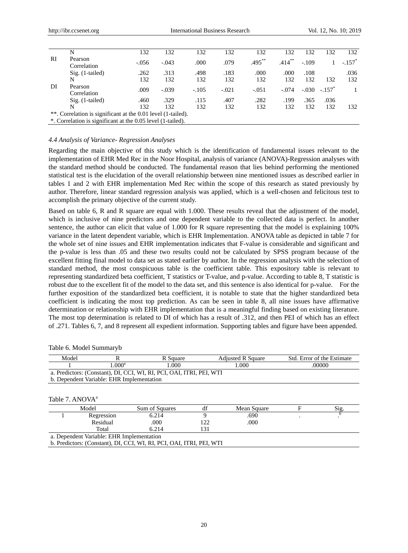|    | N                                                            | 132     | 132     | 132     | 132     | 132       | 132       | 132     | 132                  | 132                  |
|----|--------------------------------------------------------------|---------|---------|---------|---------|-----------|-----------|---------|----------------------|----------------------|
| RI | Pearson<br>Correlation                                       | $-.056$ | $-.043$ | .000    | .079    | $.495***$ | $.414***$ | $-.109$ |                      | $-.157$ <sup>*</sup> |
|    | $Sig.$ (1-tailed)                                            | .262    | .313    | .498    | .183    | .000      | .000      | .108    |                      | .036                 |
|    | N                                                            | 132     | 132     | 132     | 132     | 132       | 132       | 132     | 132                  | 132                  |
| DI | Pearson<br>Correlation                                       | .009    | $-.039$ | $-.105$ | $-.021$ | $-.051$   | $-.074$   | $-.030$ | $-.157$ <sup>*</sup> |                      |
|    | $Sig.$ (1-tailed)                                            | .460    | .329    | .115    | .407    | .282      | .199      | .365    | .036                 |                      |
|    | N                                                            | 132     | 132     | 132     | 132     | 132       | 132       | 132     | 132                  | 132                  |
|    | **. Correlation is significant at the 0.01 level (1-tailed). |         |         |         |         |           |           |         |                      |                      |
|    | *. Correlation is significant at the 0.05 level (1-tailed).  |         |         |         |         |           |           |         |                      |                      |

#### *4.4 Analysis of Variance- Regression Analyses*

Regarding the main objective of this study which is the identification of fundamental issues relevant to the implementation of EHR Med Rec in the Noor Hospital, analysis of variance (ANOVA)-Regression analyses with the standard method should be conducted. The fundamental reason that lies behind performing the mentioned statistical test is the elucidation of the overall relationship between nine mentioned issues as described earlier in tables 1 and 2 with EHR implementation Med Rec within the scope of this research as stated previously by author. Therefore, linear standard regression analysis was applied, which is a well-chosen and felicitous test to accomplish the primary objective of the current study.

Based on table 6, R and R square are equal with 1.000. These results reveal that the adjustment of the model, which is inclusive of nine predictors and one dependent variable to the collected data is perfect. In another sentence, the author can elicit that value of 1.000 for R square representing that the model is explaining 100% variance in the latent dependent variable, which is EHR Implementation. ANOVA table as depicted in table 7 for the whole set of nine issues and EHR implementation indicates that F-value is considerable and significant and the p-value is less than .05 and these two results could not be calculated by SPSS program because of the excellent fitting final model to data set as stated earlier by author. In the regression analysis with the selection of standard method, the most conspicuous table is the coefficient table. This expository table is relevant to representing standardized beta coefficient, T statistics or T-value, and p-value. According to table 8, T statistic is robust due to the excellent fit of the model to the data set, and this sentence is also identical for p-value. For the further exposition of the standardized beta coefficient, it is notable to state that the higher standardized beta coefficient is indicating the most top prediction. As can be seen in table 8, all nine issues have affirmative determination or relationship with EHR implementation that is a meaningful finding based on existing literature. The most top determination is related to DI of which has a result of .312, and then PEI of which has an effect of .271. Tables 6, 7, and 8 represent all expedient information. Supporting tables and figure have been appended.

| R<br>Model                  |                                           | R Square                                                             | <b>Adjusted R Square</b> |             |        | Std. Error of the Estimate |
|-----------------------------|-------------------------------------------|----------------------------------------------------------------------|--------------------------|-------------|--------|----------------------------|
|                             | $1.000^a$                                 | 1.000                                                                |                          | 1.000       | .00000 |                            |
|                             |                                           | a. Predictors: (Constant), DI, CCI, WI, RI, PCI, OAI, ITRI, PEI, WTI |                          |             |        |                            |
|                             | b. Dependent Variable: EHR Implementation |                                                                      |                          |             |        |                            |
|                             |                                           |                                                                      |                          |             |        |                            |
|                             |                                           |                                                                      |                          |             |        |                            |
| Table 7. ANOVA <sup>a</sup> |                                           |                                                                      |                          |             |        |                            |
|                             | Model                                     | Sum of Squares                                                       | df                       | Mean Square | F      | Sig.                       |
|                             | Regression                                | 6.214                                                                | 9                        | .690        |        |                            |
|                             | Residual                                  | .000.                                                                | 122                      | .000        |        |                            |
|                             | Total                                     | 6.214                                                                | 131                      |             |        |                            |
|                             | a. Dependent Variable: EHR Implementation |                                                                      |                          |             |        |                            |
|                             |                                           | b. Predictors: (Constant), DI, CCI, WI, RI, PCI, OAI, ITRI, PEI, WTI |                          |             |        |                            |
|                             |                                           |                                                                      |                          |             |        |                            |

Table 6. Model Summaryb

20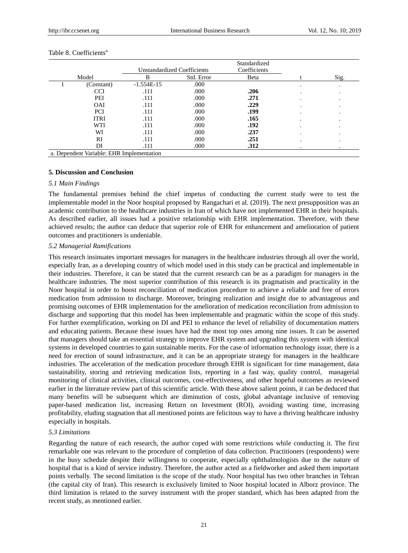|                                           |             |                                    |            | Standardized |  |      |  |  |  |
|-------------------------------------------|-------------|------------------------------------|------------|--------------|--|------|--|--|--|
|                                           |             | <b>Unstandardized Coefficients</b> |            | Coefficients |  |      |  |  |  |
| Model                                     |             | в                                  | Std. Error | Beta         |  | Sig. |  |  |  |
|                                           | (Constant)  | $-1.554E-15$                       | .000       |              |  | ٠    |  |  |  |
|                                           | <b>CCI</b>  | .111                               | .000       | .206         |  |      |  |  |  |
|                                           | PEI         | .111                               | .000       | .271         |  |      |  |  |  |
|                                           | <b>OAI</b>  | .111                               | .000       | .229         |  |      |  |  |  |
|                                           | <b>PCI</b>  | .111                               | .000       | .199         |  |      |  |  |  |
|                                           | <b>ITRI</b> | .111                               | .000       | .165         |  |      |  |  |  |
|                                           | WTI         | .111                               | .000       | .192         |  |      |  |  |  |
|                                           | WI          | .111                               | .000       | .237         |  |      |  |  |  |
|                                           | RI          | .111                               | .000       | .251         |  |      |  |  |  |
|                                           | DI          | .111                               | .000       | .312         |  |      |  |  |  |
| a. Dependent Variable: EHR Implementation |             |                                    |            |              |  |      |  |  |  |

#### Table 8. Coefficients<sup>a</sup>

#### **5. Discussion and Conclusion**

#### *5.1 Main Findings*

The fundamental premises behind the chief impetus of conducting the current study were to test the implementable model in the Noor hospital proposed by Rangachari et al. (2019). The next presupposition was an academic contribution to the healthcare industries in Iran of which have not implemented EHR in their hospitals. As described earlier, all issues had a positive relationship with EHR implementation. Therefore, with these achieved results; the author can deduce that superior role of EHR for enhancement and amelioration of patient outcomes and practitioners is undeniable.

#### *5.2 Managerial Ramifications*

This research insinuates important messages for managers in the healthcare industries through all over the world, especially Iran, as a developing country of which model used in this study can be practical and implementable in their industries. Therefore, it can be stated that the current research can be as a paradigm for managers in the healthcare industries. The most superior contribution of this research is its pragmatism and practicality in the Noor hospital in order to boost reconciliation of medication procedure to achieve a reliable and free of errors medication from admission to discharge. Moreover, bringing realization and insight due to advantageous and promising outcomes of EHR implementation for the amelioration of medication reconciliation from admission to discharge and supporting that this model has been implementable and pragmatic within the scope of this study. For further exemplification, working on DI and PEI to enhance the level of reliability of documentation matters and educating patients. Because these issues have had the most top ones among nine issues. It can be asserted that managers should take an essential strategy to improve EHR system and upgrading this system with identical systems in developed countries to gain sustainable merits. For the case of information technology issue, there is a need for erection of sound infrastructure, and it can be an appropriate strategy for managers in the healthcare industries. The acceleration of the medication procedure through EHR is significant for time management, data sustainability, storing and retrieving medication lists, reporting in a fast way, quality control, managerial monitoring of clinical activities, clinical outcomes, cost-effectiveness, and other hopeful outcomes as reviewed earlier in the literature review part of this scientific article. With these above salient points, it can be deduced that many benefits will be subsequent which are diminution of costs, global advantage inclusive of removing paper-based medication list, increasing Return on Investment (ROI), avoiding wasting time, increasing profitability, eluding stagnation that all mentioned points are felicitous way to have a thriving healthcare industry especially in hospitals.

#### *5.3 Limitations*

Regarding the nature of each research, the author coped with some restrictions while conducting it. The first remarkable one was relevant to the procedure of completion of data collection. Practitioners (respondents) were in the busy schedule despite their willingness to cooperate, especially ophthalmologists due to the nature of hospital that is a kind of service industry. Therefore, the author acted as a fieldworker and asked them important points verbally. The second limitation is the scope of the study. Noor hospital has two other branches in Tehran (the capital city of Iran). This research is exclusively limited to Noor hospital located in Alborz province. The third limitation is related to the survey instrument with the proper standard, which has been adapted from the recent study, as mentioned earlier.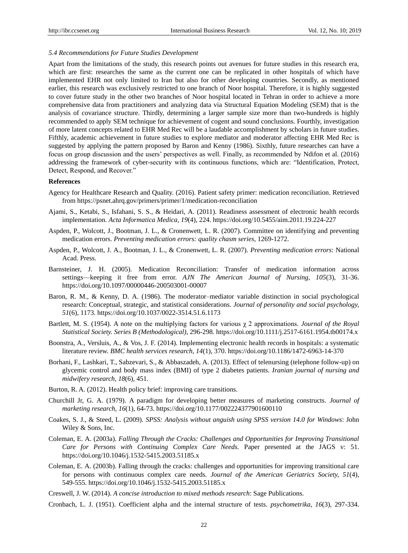#### *5.4 Recommendations for Future Studies Development*

Apart from the limitations of the study, this research points out avenues for future studies in this research era, which are first: researches the same as the current one can be replicated in other hospitals of which have implemented EHR not only limited to Iran but also for other developing countries. Secondly, as mentioned earlier, this research was exclusively restricted to one branch of Noor hospital. Therefore, it is highly suggested to cover future study in the other two branches of Noor hospital located in Tehran in order to achieve a more comprehensive data from practitioners and analyzing data via Structural Equation Modeling (SEM) that is the analysis of covariance structure. Thirdly, determining a larger sample size more than two-hundreds is highly recommended to apply SEM technique for achievement of cogent and sound conclusions. Fourthly, investigation of more latent concepts related to EHR Med Rec will be a laudable accomplishment by scholars in future studies. Fifthly, academic achievement in future studies to explore mediator and moderator affecting EHR Med Rec is suggested by applying the pattern proposed by Baron and Kenny (1986). Sixthly, future researches can have a focus on group discussion and the users' perspectives as well. Finally, as recommended by Ndifon et al. (2016) addressing the framework of cyber-security with its continuous functions, which are: "Identification, Protect, Detect, Respond, and Recover."

#### **References**

- Agency for Healthcare Research and Quality. (2016). Patient safety primer: medication reconciliation. Retrieved from https://psnet.ahrq.gov/primers/primer/1/medication-reconciliation
- Ajami, S., Ketabi, S., Isfahani, S. S., & Heidari, A. (2011). Readiness assessment of electronic health records implementation. *Acta Informatica Medica, 19*(4), 224. https://doi.org/10.5455/aim.2011.19.224-227
- Aspden, P., Wolcott, J., Bootman, J. L., & Cronenwett, L. R. (2007). Committee on identifying and preventing medication errors. *Preventing medication errors: quality chasm series*, 1269-1272.
- Aspden, P., Wolcott, J. A., Bootman, J. L., & Cronenwett, L. R. (2007). *Preventing medication errors*: National Acad. Press.
- Barnsteiner, J. H. (2005). Medication Reconciliation: Transfer of medication information across settings—keeping it free from error. *AJN The American Journal of Nursing, 105*(3), 31-36. https://doi.org/10.1097/00000446-200503001-00007
- Baron, R. M., & Kenny, D. A. (1986). The moderator–mediator variable distinction in social psychological research: Conceptual, strategic, and statistical considerations. *Journal of personality and social psychology, 51*(6), 1173. https://doi.org/10.1037/0022-3514.51.6.1173
- Bartlett, M. S. (1954). A note on the multiplying factors for various χ 2 approximations. *Journal of the Royal Statistical Society. Series B (Methodological)*, 296-298. https://doi.org/10.1111/j.2517-6161.1954.tb00174.x
- Boonstra, A., Versluis, A., & Vos, J. F. (2014). Implementing electronic health records in hospitals: a systematic literature review. *BMC health services research, 14*(1), 370. https://doi.org/10.1186/1472-6963-14-370
- Borhani, F., Lashkari, T., Sabzevari, S., & Abbaszadeh, A. (2013). Effect of telenursing (telephone follow-up) on glycemic control and body mass index (BMI) of type 2 diabetes patients. *Iranian journal of nursing and midwifery research, 18*(6), 451.
- Burton, R. A. (2012). Health policy brief: improving care transitions.
- Churchill Jr, G. A. (1979). A paradigm for developing better measures of marketing constructs. *Journal of marketing research, 16*(1), 64-73. https://doi.org/10.1177/002224377901600110
- Coakes, S. J., & Steed, L. (2009). *SPSS: Analysis without anguish using SPSS version 14.0 for Windows*: John Wiley & Sons, Inc.
- Coleman, E. A. (2003a). *Falling Through the Cracks: Challenges and Opportunities for Improving Transitional Care for Persons with Continuing Complex Care Needs.* Paper presented at the JAGS v: 51. https://doi.org/10.1046/j.1532-5415.2003.51185.x
- Coleman, E. A. (2003b). Falling through the cracks: challenges and opportunities for improving transitional care for persons with continuous complex care needs. *Journal of the American Geriatrics Society, 51*(4), 549-555. https://doi.org/10.1046/j.1532-5415.2003.51185.x
- Creswell, J. W. (2014). *A concise introduction to mixed methods research*: Sage Publications.
- Cronbach, L. J. (1951). Coefficient alpha and the internal structure of tests. *psychometrika, 16*(3), 297-334.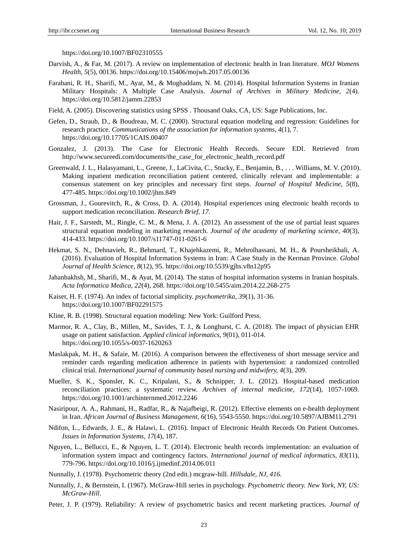https://doi.org/10.1007/BF02310555

- Darvish, A., & Far, M. (2017). A review on implementation of electronic health in Iran literature. *MOJ Womens Health, 5*(5), 00136. https://doi.org/10.15406/mojwh.2017.05.00136
- Farahani, R. H., Sharifi, M., Ayat, M., & Moghaddam, N. M. (2014). Hospital Information Systems in Iranian Military Hospitals: A Multiple Case Analysis. *Journal of Archives in Military Medicine, 2*(4). https://doi.org/10.5812/jamm.22853
- Field, A. (2005). Discovering statistics using SPSS . Thousand Oaks, CA, US: Sage Publications, Inc.
- Gefen, D., Straub, D., & Boudreau, M. C. (2000). Structural equation modeling and regression: Guidelines for research practice. *Communications of the association for information systems, 4*(1), 7. https://doi.org/10.17705/1CAIS.00407
- Gonzalez, J. (2013). The Case for Electronic Health Records. Secure EDI. Retrieved from http://www.secureedi.com/documents/the\_case\_for\_electronic\_health\_record.pdf
- Greenwald, J. L., Halasyamani, L., Greene, J., LaCivita, C., Stucky, E., Benjamin, B., . . . Williams, M. V. (2010). Making inpatient medication reconciliation patient centered, clinically relevant and implementable: a consensus statement on key principles and necessary first steps. *Journal of Hospital Medicine, 5*(8), 477-485. https://doi.org/10.1002/jhm.849
- Grossman, J., Gourevitch, R., & Cross, D. A. (2014). Hospital experiences using electronic health records to support medication reconciliation. *Research Brief*, *17.*
- Hair, J. F., Sarstedt, M., Ringle, C. M., & Mena, J. A. (2012). An assessment of the use of partial least squares structural equation modeling in marketing research. *Journal of the academy of marketing science, 40*(3), 414-433. https://doi.org/10.1007/s11747-011-0261-6
- Hekmat, S. N., Dehnavieh, R., Behmard, T., Khajehkazemi, R., Mehrolhassani, M. H., & Poursheikhali, A. (2016). Evaluation of Hospital Information Systems in Iran: A Case Study in the Kerman Province. *Global Journal of Health Science, 8*(12), 95. https://doi.org/10.5539/gjhs.v8n12p95
- Jahanbakhsh, M., Sharifi, M., & Ayat, M. (2014). The status of hospital information systems in Iranian hospitals. *Acta Informatica Medica, 22*(4), 268. https://doi.org/10.5455/aim.2014.22.268-275
- Kaiser, H. F. (1974). An index of factorial simplicity. *psychometrika, 39*(1), 31-36. https://doi.org/10.1007/BF02291575
- Kline, R. B. (1998). Structural equation modeling: New York: Guilford Press.
- Marmor, R. A., Clay, B., Millen, M., Savides, T. J., & Longhurst, C. A. (2018). The impact of physician EHR usage on patient satisfaction. *Applied clinical informatics, 9*(01), 011-014. https://doi.org/10.1055/s-0037-1620263
- Maslakpak, M. H., & Safaie, M. (2016). A comparison between the effectiveness of short message service and reminder cards regarding medication adherence in patients with hypertension: a randomized controlled clinical trial. *International journal of community based nursing and midwifery, 4*(3), 209.
- Mueller, S. K., Sponsler, K. C., Kripalani, S., & Schnipper, J. L. (2012). Hospital-based medication reconciliation practices: a systematic review. *Archives of internal medicine, 172*(14), 1057-1069. https://doi.org/10.1001/archinternmed.2012.2246
- Nasiripour, A. A., Rahmani, H., Radfar, R., & Najafbeigi, R. (2012). Effective elements on e-health deployment in Iran. *African Journal of Business Management, 6*(16), 5543-5550. https://doi.org/10.5897/AJBM11.2791
- Ndifon, L., Edwards, J. E., & Halawi, L. (2016). Impact of Electronic Health Records On Patient Outcomes. *Issues in Information Systems, 17*(4), 187.
- Nguyen, L., Bellucci, E., & Nguyen, L. T. (2014). Electronic health records implementation: an evaluation of information system impact and contingency factors. *International journal of medical informatics, 83*(11), 779-796. https://doi.org/10.1016/j.ijmedinf.2014.06.011
- Nunnally, J. (1978). Psychometric theory (2nd edit.) mcgraw-hill. *Hillsdale, NJ, 416*.
- Nunnally, J., & Bernstein, I. (1967). McGraw-Hill series in psychology. *Psychometric theory. New York, NY, US: McGraw-Hill*.
- Peter, J. P. (1979). Reliability: A review of psychometric basics and recent marketing practices. *Journal of*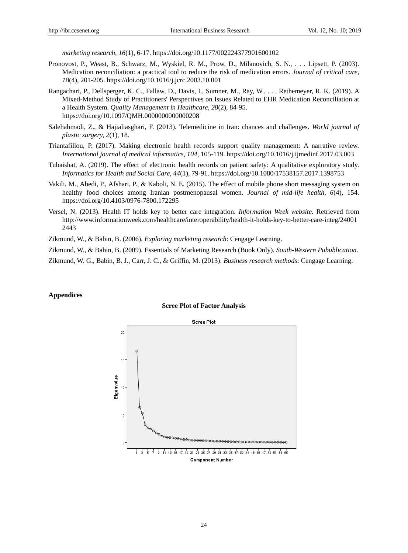*marketing research, 16*(1), 6-17. https://doi.org/10.1177/002224377901600102

- Pronovost, P., Weast, B., Schwarz, M., Wyskiel, R. M., Prow, D., Milanovich, S. N., . . . Lipsett, P. (2003). Medication reconciliation: a practical tool to reduce the risk of medication errors. *Journal of critical care, 18*(4), 201-205. https://doi.org/10.1016/j.jcrc.2003.10.001
- Rangachari, P., Dellsperger, K. C., Fallaw, D., Davis, I., Sumner, M., Ray, W., . . . Rethemeyer, R. K. (2019). A Mixed-Method Study of Practitioners' Perspectives on Issues Related to EHR Medication Reconciliation at a Health System. *Quality Management in Healthcare, 28*(2), 84-95. https://doi.org/10.1097/QMH.0000000000000208
- Salehahmadi, Z., & Hajialiasghari, F. (2013). Telemedicine in Iran: chances and challenges. *World journal of plastic surgery, 2*(1), 18.
- Triantafillou, P. (2017). Making electronic health records support quality management: A narrative review. *International journal of medical informatics, 104*, 105-119. https://doi.org/10.1016/j.ijmedinf.2017.03.003
- Tubaishat, A. (2019). The effect of electronic health records on patient safety: A qualitative exploratory study. *Informatics for Health and Social Care, 44*(1), 79-91. https://doi.org/10.1080/17538157.2017.1398753
- Vakili, M., Abedi, P., Afshari, P., & Kaboli, N. E. (2015). The effect of mobile phone short messaging system on healthy food choices among Iranian postmenopausal women. *Journal of mid-life health, 6*(4), 154. https://doi.org/10.4103/0976-7800.172295
- Versel, N. (2013). Health IT holds key to better care integration. *Information Week website.* Retrieved from http://www.informationweek.com/healthcare/interoperability/health-it-holds-key-to-better-care-integ/24001 2443
- Zikmund, W., & Babin, B. (2006). *Exploring marketing research*: Cengage Learning.

Zikmund, W., & Babin, B. (2009). Essentials of Marketing Research (Book Only). *South-Western Pubublication*.

Zikmund, W. G., Babin, B. J., Carr, J. C., & Griffin, M. (2013). *Business research methods*: Cengage Learning.

#### **Appendices**

#### **Scree Plot of Factor Analysis**